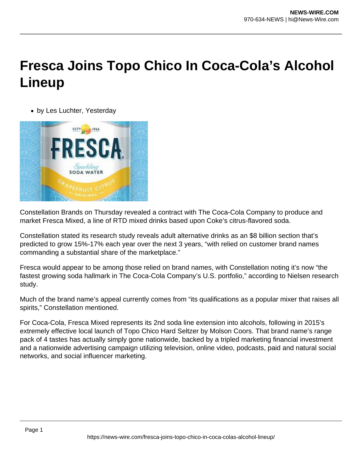## **Fresca Joins Topo Chico In Coca-Cola's Alcohol Lineup**

by Les Luchter, Yesterday



Constellation Brands on Thursday revealed a contract with The Coca-Cola Company to produce and market Fresca Mixed, a line of RTD mixed drinks based upon Coke's citrus-flavored soda.

Constellation stated its research study reveals adult alternative drinks as an \$8 billion section that's predicted to grow 15%-17% each year over the next 3 years, "with relied on customer brand names commanding a substantial share of the marketplace."

Fresca would appear to be among those relied on brand names, with Constellation noting it's now "the fastest growing soda hallmark in The Coca-Cola Company's U.S. portfolio," according to Nielsen research study.

Much of the brand name's appeal currently comes from "its qualifications as a popular mixer that raises all spirits," Constellation mentioned.

For Coca-Cola, Fresca Mixed represents its 2nd soda line extension into alcohols, following in 2015's extremely effective local launch of Topo Chico Hard Seltzer by Molson Coors. That brand name's range pack of 4 tastes has actually simply gone nationwide, backed by a tripled marketing financial investment and a nationwide advertising campaign utilizing television, online video, podcasts, paid and natural social networks, and social influencer marketing.